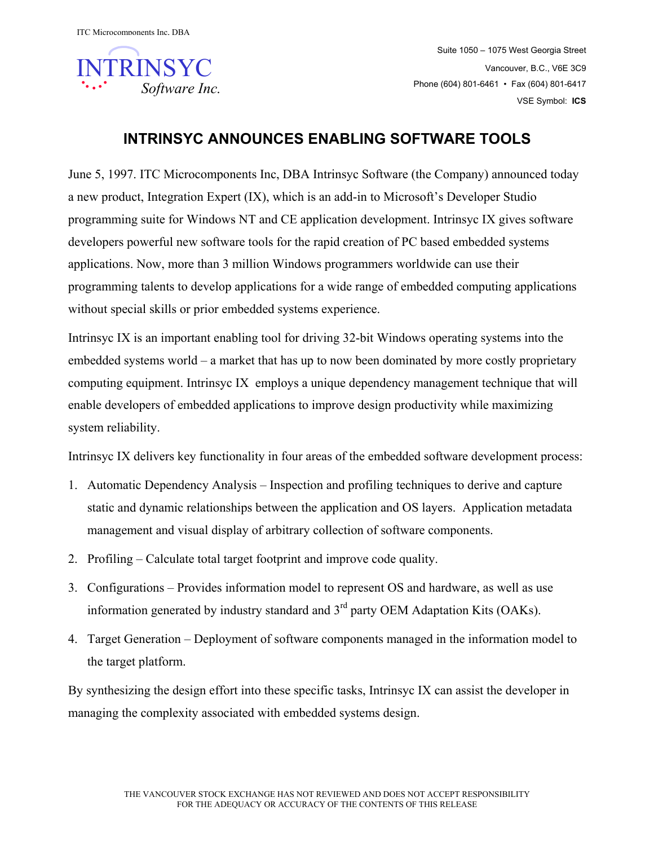

Suite 1050 – 1075 West Georgia Street Vancouver, B.C., V6E 3C9 Phone (604) 801-6461 • Fax (604) 801-6417 VSE Symbol: **ICS**

## **INTRINSYC ANNOUNCES ENABLING SOFTWARE TOOLS**

June 5, 1997. ITC Microcomponents Inc, DBA Intrinsyc Software (the Company) announced today a new product, Integration Expert (IX), which is an add-in to Microsoft's Developer Studio programming suite for Windows NT and CE application development. Intrinsyc IX gives software developers powerful new software tools for the rapid creation of PC based embedded systems applications. Now, more than 3 million Windows programmers worldwide can use their programming talents to develop applications for a wide range of embedded computing applications without special skills or prior embedded systems experience.

Intrinsyc IX is an important enabling tool for driving 32-bit Windows operating systems into the embedded systems world – a market that has up to now been dominated by more costly proprietary computing equipment. Intrinsyc IX employs a unique dependency management technique that will enable developers of embedded applications to improve design productivity while maximizing system reliability.

Intrinsyc IX delivers key functionality in four areas of the embedded software development process:

- 1. Automatic Dependency Analysis Inspection and profiling techniques to derive and capture static and dynamic relationships between the application and OS layers. Application metadata management and visual display of arbitrary collection of software components.
- 2. Profiling Calculate total target footprint and improve code quality.
- 3. Configurations Provides information model to represent OS and hardware, as well as use information generated by industry standard and  $3<sup>rd</sup>$  party OEM Adaptation Kits (OAKs).
- 4. Target Generation Deployment of software components managed in the information model to the target platform.

By synthesizing the design effort into these specific tasks, Intrinsyc IX can assist the developer in managing the complexity associated with embedded systems design.